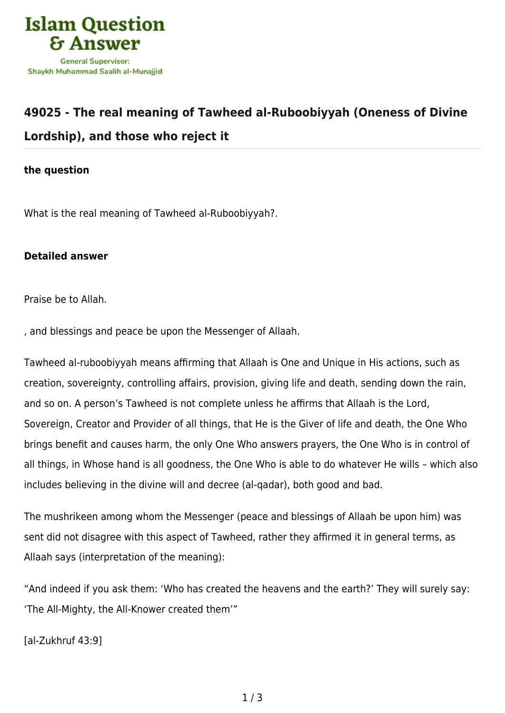

## **[49025 - The real meaning of Tawheed al-Ruboobiyyah \(Oneness of Divine](https://islamqa.info/en/answers/49025/the-real-meaning-of-tawheed-al-ruboobiyyah-oneness-of-divine-lordship-and-those-who-reject-it) [Lordship\), and those who reject it](https://islamqa.info/en/answers/49025/the-real-meaning-of-tawheed-al-ruboobiyyah-oneness-of-divine-lordship-and-those-who-reject-it)**

## **the question**

What is the real meaning of Tawheed al-Ruboobiyyah?.

## **Detailed answer**

Praise be to Allah.

, and blessings and peace be upon the Messenger of Allaah.

Tawheed al-ruboobiyyah means affirming that Allaah is One and Unique in His actions, such as creation, sovereignty, controlling affairs, provision, giving life and death, sending down the rain, and so on. A person's Tawheed is not complete unless he affirms that Allaah is the Lord, Sovereign, Creator and Provider of all things, that He is the Giver of life and death, the One Who brings benefit and causes harm, the only One Who answers prayers, the One Who is in control of all things, in Whose hand is all goodness, the One Who is able to do whatever He wills – which also includes believing in the divine will and decree (al-qadar), both good and bad.

The mushrikeen among whom the Messenger (peace and blessings of Allaah be upon him) was sent did not disagree with this aspect of Tawheed, rather they affirmed it in general terms, as Allaah says (interpretation of the meaning):

"And indeed if you ask them: 'Who has created the heavens and the earth?' They will surely say: 'The All-Mighty, the All-Knower created them'"

[al-Zukhruf 43:9]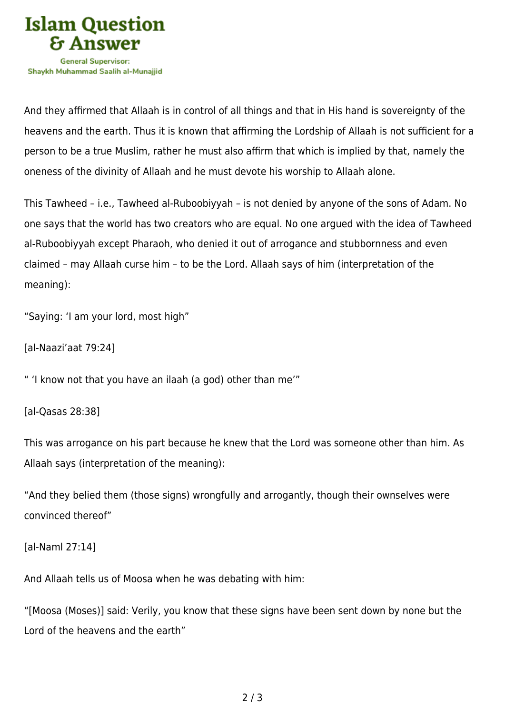

And they affirmed that Allaah is in control of all things and that in His hand is sovereignty of the heavens and the earth. Thus it is known that affirming the Lordship of Allaah is not sufficient for a person to be a true Muslim, rather he must also affirm that which is implied by that, namely the oneness of the divinity of Allaah and he must devote his worship to Allaah alone.

This Tawheed – i.e., Tawheed al-Ruboobiyyah – is not denied by anyone of the sons of Adam. No one says that the world has two creators who are equal. No one argued with the idea of Tawheed al-Ruboobiyyah except Pharaoh, who denied it out of arrogance and stubbornness and even claimed – may Allaah curse him – to be the Lord. Allaah says of him (interpretation of the meaning):

"Saying: 'I am your lord, most high"

[al-Naazi'aat 79:24]

" 'I know not that you have an ilaah (a god) other than me'"

[al-Qasas 28:38]

This was arrogance on his part because he knew that the Lord was someone other than him. As Allaah says (interpretation of the meaning):

"And they belied them (those signs) wrongfully and arrogantly, though their ownselves were convinced thereof"

[al-Naml 27:14]

And Allaah tells us of Moosa when he was debating with him:

"[Moosa (Moses)] said: Verily, you know that these signs have been sent down by none but the Lord of the heavens and the earth"